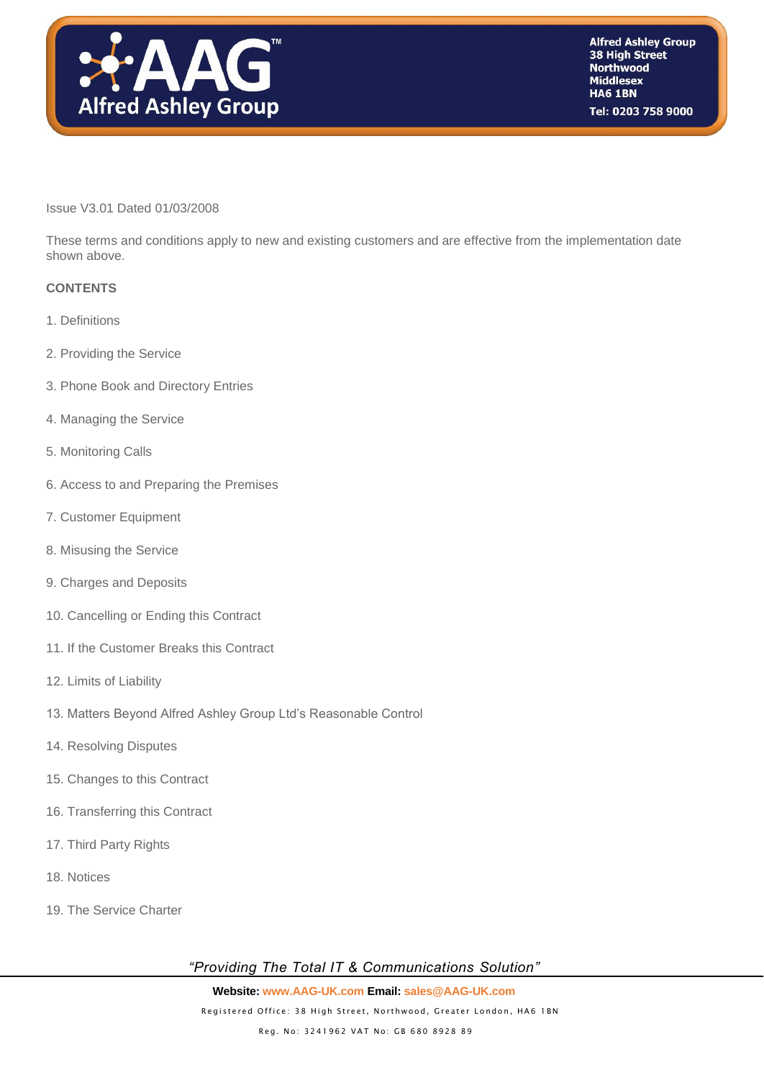

#### Issue V3.01 Dated 01/03/2008

These terms and conditions apply to new and existing customers and are effective from the implementation date shown above.

#### **CONTENTS**

- 1. Definitions
- 2. Providing the Service
- 3. Phone Book and Directory Entries
- 4. Managing the Service
- 5. Monitoring Calls
- 6. Access to and Preparing the Premises
- 7. Customer Equipment
- 8. Misusing the Service
- 9. Charges and Deposits
- 10. Cancelling or Ending this Contract
- 11. If the Customer Breaks this Contract
- 12. Limits of Liability
- 13. Matters Beyond Alfred Ashley Group Ltd's Reasonable Control
- 14. Resolving Disputes
- 15. Changes to this Contract
- 16. Transferring this Contract
- 17. Third Party Rights
- 18. Notices
- 19. The Service Charter

*"Providing The Total IT & Communications Solution"*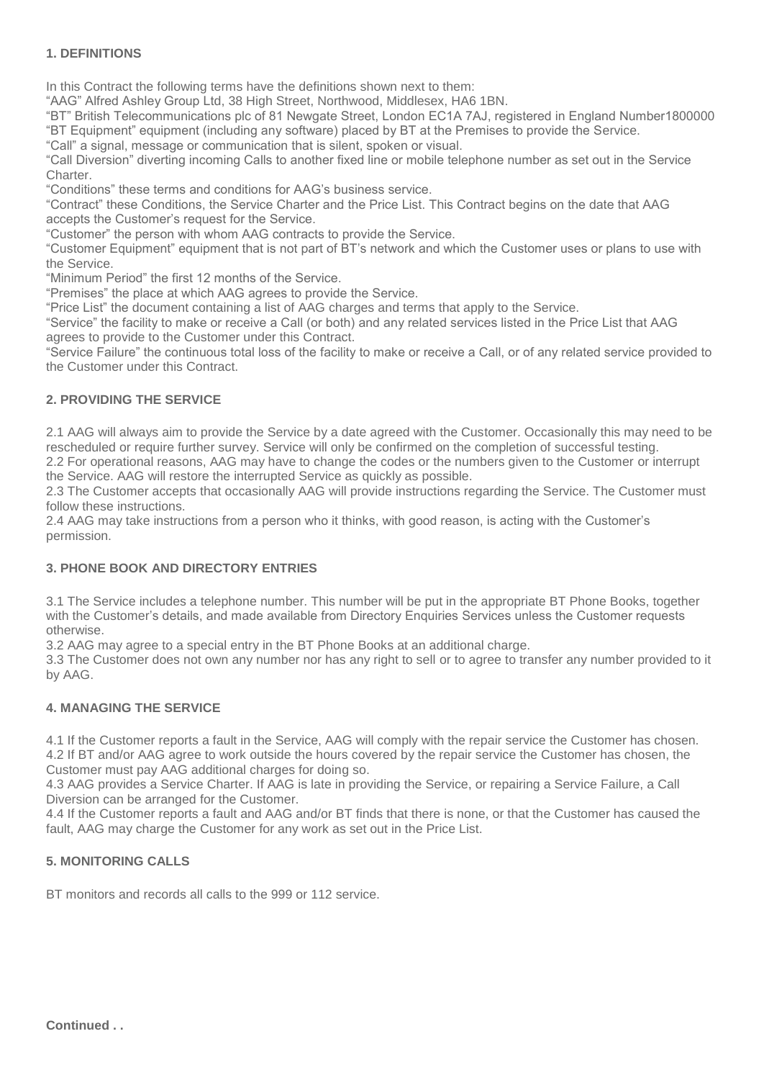## **1. DEFINITIONS**

In this Contract the following terms have the definitions shown next to them:

"AAG" Alfred Ashley Group Ltd, 38 High Street, Northwood, Middlesex, HA6 1BN.

"BT" British Telecommunications plc of 81 Newgate Street, London EC1A 7AJ, registered in England Number1800000 "BT Equipment" equipment (including any software) placed by BT at the Premises to provide the Service.

"Call" a signal, message or communication that is silent, spoken or visual.

"Call Diversion" diverting incoming Calls to another fixed line or mobile telephone number as set out in the Service Charter.

"Conditions" these terms and conditions for AAG's business service.

"Contract" these Conditions, the Service Charter and the Price List. This Contract begins on the date that AAG accepts the Customer's request for the Service.

"Customer" the person with whom AAG contracts to provide the Service.

"Customer Equipment" equipment that is not part of BT's network and which the Customer uses or plans to use with the Service.

"Minimum Period" the first 12 months of the Service.

"Premises" the place at which AAG agrees to provide the Service.

"Price List" the document containing a list of AAG charges and terms that apply to the Service.

"Service" the facility to make or receive a Call (or both) and any related services listed in the Price List that AAG agrees to provide to the Customer under this Contract.

"Service Failure" the continuous total loss of the facility to make or receive a Call, or of any related service provided to the Customer under this Contract.

#### **2. PROVIDING THE SERVICE**

2.1 AAG will always aim to provide the Service by a date agreed with the Customer. Occasionally this may need to be rescheduled or require further survey. Service will only be confirmed on the completion of successful testing. 2.2 For operational reasons, AAG may have to change the codes or the numbers given to the Customer or interrupt

the Service. AAG will restore the interrupted Service as quickly as possible.

2.3 The Customer accepts that occasionally AAG will provide instructions regarding the Service. The Customer must follow these instructions.

2.4 AAG may take instructions from a person who it thinks, with good reason, is acting with the Customer's permission.

## **3. PHONE BOOK AND DIRECTORY ENTRIES**

3.1 The Service includes a telephone number. This number will be put in the appropriate BT Phone Books, together with the Customer's details, and made available from Directory Enquiries Services unless the Customer requests otherwise.

3.2 AAG may agree to a special entry in the BT Phone Books at an additional charge.

3.3 The Customer does not own any number nor has any right to sell or to agree to transfer any number provided to it by AAG.

## **4. MANAGING THE SERVICE**

4.1 If the Customer reports a fault in the Service, AAG will comply with the repair service the Customer has chosen. 4.2 If BT and/or AAG agree to work outside the hours covered by the repair service the Customer has chosen, the Customer must pay AAG additional charges for doing so.

4.3 AAG provides a Service Charter. If AAG is late in providing the Service, or repairing a Service Failure, a Call Diversion can be arranged for the Customer.

4.4 If the Customer reports a fault and AAG and/or BT finds that there is none, or that the Customer has caused the fault, AAG may charge the Customer for any work as set out in the Price List.

## **5. MONITORING CALLS**

BT monitors and records all calls to the 999 or 112 service.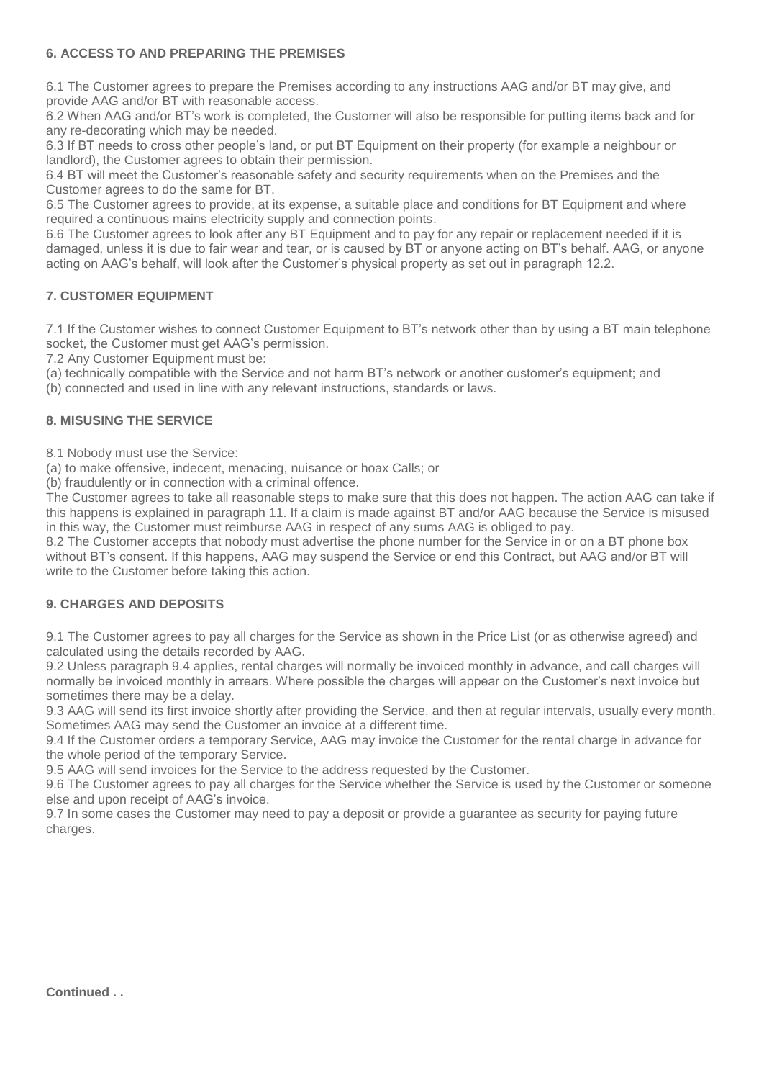## **6. ACCESS TO AND PREPARING THE PREMISES**

6.1 The Customer agrees to prepare the Premises according to any instructions AAG and/or BT may give, and provide AAG and/or BT with reasonable access.

6.2 When AAG and/or BT's work is completed, the Customer will also be responsible for putting items back and for any re-decorating which may be needed.

6.3 If BT needs to cross other people's land, or put BT Equipment on their property (for example a neighbour or landlord), the Customer agrees to obtain their permission.

6.4 BT will meet the Customer's reasonable safety and security requirements when on the Premises and the Customer agrees to do the same for BT.

6.5 The Customer agrees to provide, at its expense, a suitable place and conditions for BT Equipment and where required a continuous mains electricity supply and connection points.

6.6 The Customer agrees to look after any BT Equipment and to pay for any repair or replacement needed if it is damaged, unless it is due to fair wear and tear, or is caused by BT or anyone acting on BT's behalf. AAG, or anyone acting on AAG's behalf, will look after the Customer's physical property as set out in paragraph 12.2.

# **7. CUSTOMER EQUIPMENT**

7.1 If the Customer wishes to connect Customer Equipment to BT's network other than by using a BT main telephone socket, the Customer must get AAG's permission.

7.2 Any Customer Equipment must be:

(a) technically compatible with the Service and not harm BT's network or another customer's equipment; and

(b) connected and used in line with any relevant instructions, standards or laws.

## **8. MISUSING THE SERVICE**

8.1 Nobody must use the Service:

(a) to make offensive, indecent, menacing, nuisance or hoax Calls; or

(b) fraudulently or in connection with a criminal offence.

The Customer agrees to take all reasonable steps to make sure that this does not happen. The action AAG can take if this happens is explained in paragraph 11. If a claim is made against BT and/or AAG because the Service is misused in this way, the Customer must reimburse AAG in respect of any sums AAG is obliged to pay.

8.2 The Customer accepts that nobody must advertise the phone number for the Service in or on a BT phone box without BT's consent. If this happens, AAG may suspend the Service or end this Contract, but AAG and/or BT will write to the Customer before taking this action.

## **9. CHARGES AND DEPOSITS**

9.1 The Customer agrees to pay all charges for the Service as shown in the Price List (or as otherwise agreed) and calculated using the details recorded by AAG.

9.2 Unless paragraph 9.4 applies, rental charges will normally be invoiced monthly in advance, and call charges will normally be invoiced monthly in arrears. Where possible the charges will appear on the Customer's next invoice but sometimes there may be a delay.

9.3 AAG will send its first invoice shortly after providing the Service, and then at regular intervals, usually every month. Sometimes AAG may send the Customer an invoice at a different time.

9.4 If the Customer orders a temporary Service, AAG may invoice the Customer for the rental charge in advance for the whole period of the temporary Service.

9.5 AAG will send invoices for the Service to the address requested by the Customer.

9.6 The Customer agrees to pay all charges for the Service whether the Service is used by the Customer or someone else and upon receipt of AAG's invoice.

9.7 In some cases the Customer may need to pay a deposit or provide a guarantee as security for paying future charges.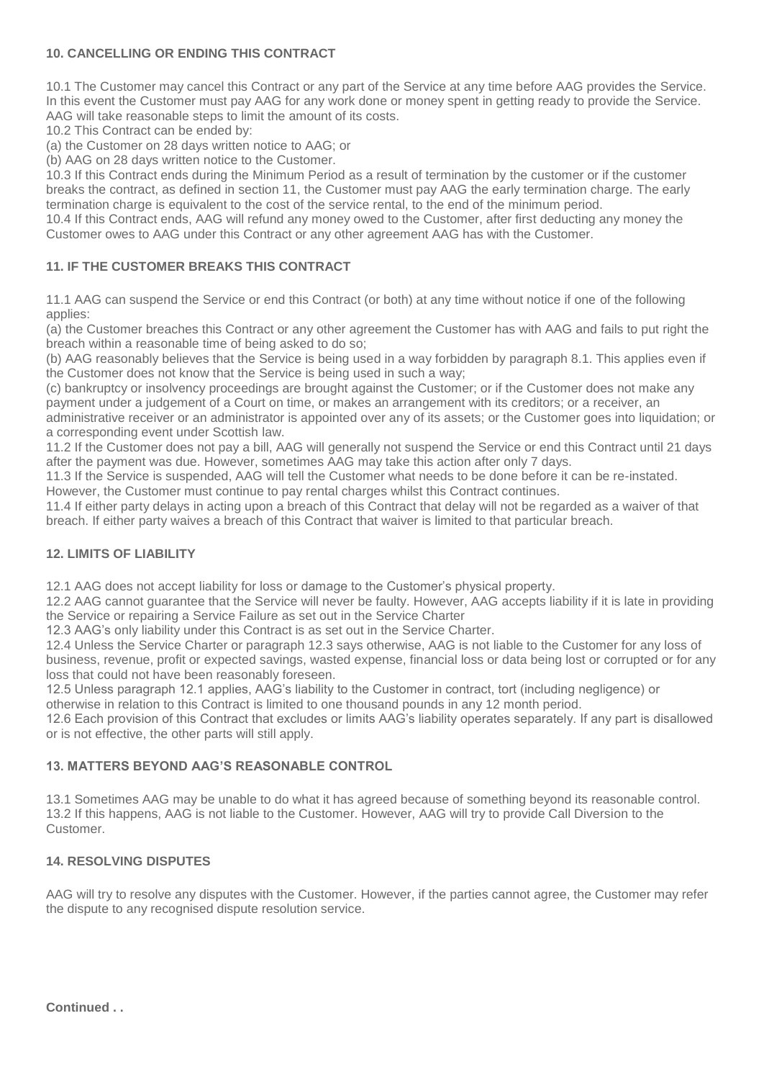## **10. CANCELLING OR ENDING THIS CONTRACT**

10.1 The Customer may cancel this Contract or any part of the Service at any time before AAG provides the Service. In this event the Customer must pay AAG for any work done or money spent in getting ready to provide the Service. AAG will take reasonable steps to limit the amount of its costs.

10.2 This Contract can be ended by:

(a) the Customer on 28 days written notice to AAG; or

(b) AAG on 28 days written notice to the Customer.

10.3 If this Contract ends during the Minimum Period as a result of termination by the customer or if the customer breaks the contract, as defined in section 11, the Customer must pay AAG the early termination charge. The early termination charge is equivalent to the cost of the service rental, to the end of the minimum period.

10.4 If this Contract ends, AAG will refund any money owed to the Customer, after first deducting any money the Customer owes to AAG under this Contract or any other agreement AAG has with the Customer.

## **11. IF THE CUSTOMER BREAKS THIS CONTRACT**

11.1 AAG can suspend the Service or end this Contract (or both) at any time without notice if one of the following applies:

(a) the Customer breaches this Contract or any other agreement the Customer has with AAG and fails to put right the breach within a reasonable time of being asked to do so;

(b) AAG reasonably believes that the Service is being used in a way forbidden by paragraph 8.1. This applies even if the Customer does not know that the Service is being used in such a way;

(c) bankruptcy or insolvency proceedings are brought against the Customer; or if the Customer does not make any payment under a judgement of a Court on time, or makes an arrangement with its creditors; or a receiver, an administrative receiver or an administrator is appointed over any of its assets; or the Customer goes into liquidation; or

a corresponding event under Scottish law.

11.2 If the Customer does not pay a bill, AAG will generally not suspend the Service or end this Contract until 21 days after the payment was due. However, sometimes AAG may take this action after only 7 days.

11.3 If the Service is suspended, AAG will tell the Customer what needs to be done before it can be re-instated.

However, the Customer must continue to pay rental charges whilst this Contract continues.

11.4 If either party delays in acting upon a breach of this Contract that delay will not be regarded as a waiver of that breach. If either party waives a breach of this Contract that waiver is limited to that particular breach.

## **12. LIMITS OF LIABILITY**

12.1 AAG does not accept liability for loss or damage to the Customer's physical property.

12.2 AAG cannot guarantee that the Service will never be faulty. However, AAG accepts liability if it is late in providing the Service or repairing a Service Failure as set out in the Service Charter

12.3 AAG's only liability under this Contract is as set out in the Service Charter.

12.4 Unless the Service Charter or paragraph 12.3 says otherwise, AAG is not liable to the Customer for any loss of business, revenue, profit or expected savings, wasted expense, financial loss or data being lost or corrupted or for any loss that could not have been reasonably foreseen.

12.5 Unless paragraph 12.1 applies, AAG's liability to the Customer in contract, tort (including negligence) or otherwise in relation to this Contract is limited to one thousand pounds in any 12 month period.

12.6 Each provision of this Contract that excludes or limits AAG's liability operates separately. If any part is disallowed or is not effective, the other parts will still apply.

## **13. MATTERS BEYOND AAG'S REASONABLE CONTROL**

13.1 Sometimes AAG may be unable to do what it has agreed because of something beyond its reasonable control. 13.2 If this happens, AAG is not liable to the Customer. However, AAG will try to provide Call Diversion to the **Customer** 

## **14. RESOLVING DISPUTES**

AAG will try to resolve any disputes with the Customer. However, if the parties cannot agree, the Customer may refer the dispute to any recognised dispute resolution service.